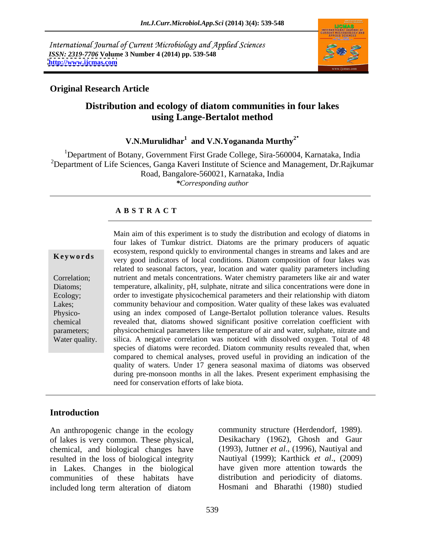International Journal of Current Microbiology and Applied Sciences *ISSN: 2319-7706* **Volume 3 Number 4 (2014) pp. 539-548 <http://www.ijcmas.com>**



# **Original Research Article**

# **Distribution and ecology of diatom communities in four lakes using Lange-Bertalot method**

**V.N.Murulidhar1 and V.N.Yogananda Murthy2**

<sup>1</sup>Department of Botany, Government First Grade College, Sira-560004, Karnataka, India <sup>2</sup>Department of Life Sciences, Ganga Kaveri Institute of Science and Management, Dr.Rajkumar Road, Bangalore-560021, Karnataka, India *\*Corresponding author*

### **A B S T R A C T**

**Keywords** very good indicators of local conditions. Diatom composition of four lakes was Correlation; nutrient and metals concentrations. Water chemistry parameters like air and water Diatoms; temperature, alkalinity, pH, sulphate, nitrate and silica concentrations were done in Ecology; order to investigate physicochemical parameters and their relationship with diatom Lakes; community behaviour and composition. Water quality of these lakes was evaluated Physico- using an index composed of Lange-Bertalot pollution tolerance values. Results chemical revealed that, diatoms showed significant positive correlation coefficient with parameters; physicochemical parameters like temperature of air and water, sulphate, nitrate and Water quality. Silica. A negative correlation was noticed with dissolved oxygen. Total of 48 Main aim of this experiment is to study the distribution and ecology of diatoms in four lakes of Tumkur district. Diatoms are the primary producers of aquatic ecosystem, respond quickly to environmental changes in streams and lakes and are related to seasonal factors, year, location and water quality parameters including species of diatoms were recorded. Diatom community results revealed that, when compared to chemical analyses, proved useful in providing an indication of the quality of waters. Under 17 genera seasonal maxima of diatoms was observed during pre-monsoon months in all the lakes. Present experiment emphasising the need for conservation efforts of lake biota.

# **Introduction**

An anthropogenic change in the ecology of lakes is very common. These physical, chemical, and biological changes have resulted in the loss of biological integrity in Lakes. Changes in the biological communities of these habitats have included long term alteration of diatom

community structure (Herdendorf, 1989). Desikachary (1962), Ghosh and Gaur (1993), Juttner *et al.*, (1996), Nautiyal and Nautiyal (1999); Karthick *et al*., (2009) have given more attention towards the distribution and periodicity of diatoms. Hosmani and Bharathi (1980) studied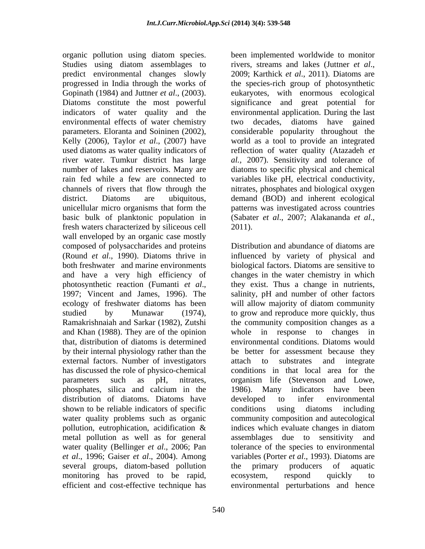organic pollution using diatom species. Studies using diatom assemblages to rivers, streams and lakes (Juttner *et al*., predict environmental changes slowly progressed in India through the works of the species-rich group of photosynthetic Gopinath (1984) and Juttner *et al.*, (2003). eukaryotes, with enormous ecological Diatoms constitute the most powerful significance and great potential for indicators of water quality and the environmental effects of water chemistry parameters. Eloranta and Soininen (2002), considerable popularity throughout the Kelly (2006), Taylor *et al*., (2007) have world as a tool to provide an integrated used diatoms as water quality indicators of reflection of water quality (Atazadeh *et*  river water. Tumkur district has large *al.,* 2007). Sensitivity and tolerance of number of lakes and reservoirs. Many are diatoms to specific physical and chemical rain fed while a few are connected to variables like pH, electrical conductivity, channels of rivers that flow through the nitrates, phosphates and biological oxygen district. Diatoms are ubiquitous, demand (BOD) and inherent ecological unicellular micro organisms that form the patterns was investigated across countries basic bulk of planktonic population in (Sabater *et al.*, 2007; Alakananda *et al.*, fresh waters characterized by siliceous cell 2011). fresh waters characterized by siliceous cell wall enveloped by an organic case mostly composed of polysaccharides and proteins external factors. Number of investigators attach to substrates and integrate has discussed the role of physico-chemical phosphates, silica and calcium in the 1986). Many indicators have been distribution of diatoms. Diatoms have developed to infer environmental shown to be reliable indicators of specific conditions using diatoms including several groups, diatom-based pollution the primary producers of aquatic monitoring has proved to be rapid,

been implemented worldwide to monitor 2009; Karthick *et al*., 2011). Diatoms are eukaryotes, with enormous ecological significance and great potential for environmental application. During the last decades, diatoms have gained

(Round *et al*., 1990). Diatoms thrive in influenced by variety of physical and both freshwater and marine environments biological factors. Diatoms are sensitive to and have a very high efficiency of changes in the water chemistry in which photosynthetic reaction (Fumanti *et al.*, they exist. Thus a change in nutrients, 1997; Vincent and James, 1996). The salinity, pH and number of other factors ecology of freshwater diatoms has been will allow majority of diatom community studied by Munawar (1974), to grow and reproduce more quickly, thus Ramakrishnaiah and Sarkar (1982), Zutshi the community composition changes as a and Khan (1988). They are of the opinion whole in response to changes in that, distribution of diatoms is determined environmental conditions. Diatoms would by their internal physiology rather than the be better for assessment because they parameters such as pH, nitrates, organism life (Stevenson and Lowe, water quality problems such as organic community composition and autecological pollution, eutrophication, acidification  $\&$  indices which evaluate changes in diatom metal pollution as well as for general assemblages due to sensitivity and water quality (Bellinger *et al*., 2006; Pan tolerance of the species to environmental *et al*., 1996; Gaiser *et al*., 2004). Among variables (Porter *et al*., 1993). Diatoms are efficient and cost-effective technique has environmental perturbations and henceDistribution and abundance of diatoms are they exist. Thus a change in nutrients, salinity, pH and number of other factors attach to substrates and integrate conditions in that local area for the 1986). Many indicators have been developed to infer environmental conditions using diatoms including indices which evaluate changes in diatom the primary producers of aquatic ecosystem, respond quickly to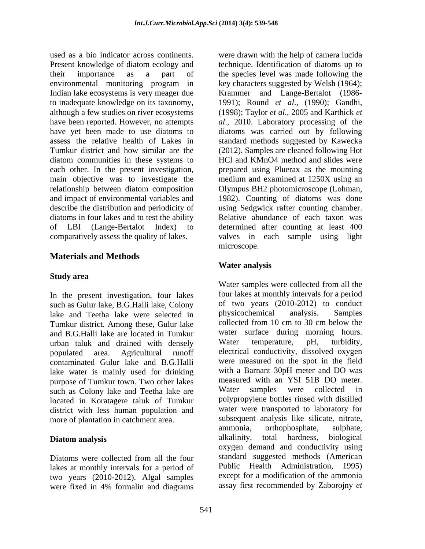used as a bio indicator across continents. were drawn with the help of camera lucida Present knowledge of diatom ecology and technique. Identification of diatoms up to their importance as a part of the species level was made following the environmental monitoring program in Indian lake ecosystems is very meager due Krammer and Lange-Bertalot (1986 to inadequate knowledge on its taxonomy, 1991); Round *et al*., (1990); Gandhi, although a few studies on river ecosystems (1998); Taylor *et al*., 2005 and Karthick *et*  have been reported. However, no attempts *al*., 2010. Laboratory processing of the have yet been made to use diatoms to diatoms was carried out by following assess the relative health of Lakes in standard methods suggested by Kawecka Tumkur district and how similar are the (2012). Samples are cleaned following Hot diatom communities in these systems to each other. In the present investigation, main objective was to investigate the medium and examined at 1250X using an relationship between diatom composition Olympus BH2 photomicroscope (Lohman, and impact of environmental variables and 1982). Counting of diatoms was done describe the distribution and periodicity of using Sedgwick rafter counting chamber. diatoms in four lakes and to test the ability of LBI (Lange-Bertalot Index) to determined after counting at least 400 comparatively assess the quality of lakes. valves in each sample using light

# **Materials and Methods**

In the present investigation, four lakes such as Gulur lake, B.G.Halli lake, Colony of two years (2010-2012) to conduct<br>lake and Teetha lake were selected in physicochemical analysis. Samples lake and Teetha lake were selected in physicochemical analysis. Samples<br>Tumbur district Among these Gulur lake collected from 10 cm to 30 cm below the Tumkur district. Among these, Gulur lake and B.G.Halli lake are located in Tumkur<br>urban taluk and drained with densely and Water temperature, pH, turbidity, urban taluk and drained with densely contaminated Gulur lake and B.G.Halli lake water is mainly used for drinking with a Barnant 30pH meter and DO was<br>nurnose of Tumkur town Two other lakes in measured with an YSI 51B DO meter. purpose of Tumkur town. Two other lakes are measured with an YSI 51B DO me<br>such as Colony lake and Teetha lake are Water samples were collected such as Colony lake and Teetha lake are Water samples were collected in located in Koratagere taluk of Tumkur district with less human population and

lakes at monthly intervals for a period of two years (2010-2012). Algal samples were fixed in 4% formalin and diagrams

key characters suggested by Welsh (1964); HCl and KMnO4 method and slides were prepared using Pluerax as the mounting Relative abundance of each taxon was microscope.

# **Water analysis**

**Study area** populated area. Agricultural runoff electrical conductivity, dissolved oxygen more of plantation in catchment area.<br>ammonia, orthophosphate, sulphate, sulphate, **Diatom analysis Example 20** alkalinity, total hardness, biological Diatoms were collected from all the four standard suggested methods (American Water samples were collected from all the four lakes at monthly intervals for a period of two years (2010-2012) to conduct physicochemical analysis. Samples collected from 10 cm to 30 cm below the water surface during morning hours. Water temperature, pH, turbidity, were measured on the spot in the field with a Barnant 30pH meter and DO was measured with an YSI 51B DO meter. Water samples were collected in polypropylene bottles rinsed with distilled water were transported to laboratory for subsequent analysis like silicate, nitrate, ammonia, orthophosphate, sulphate, alkalinity, total hardness, biological oxygen demand and conductivity using standard suggested methods (American Public Health Administration, 1995) except for a modification of the ammonia assay first recommended by Zaborojny *et*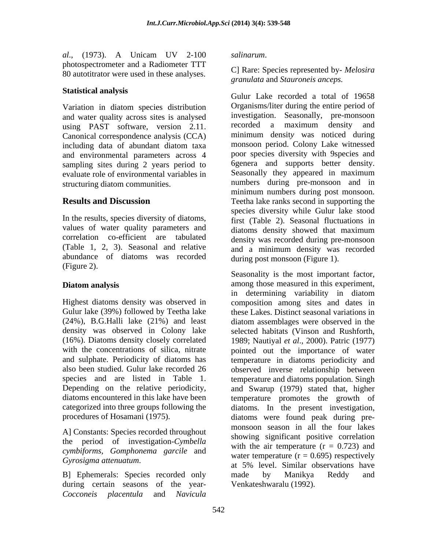*al*., (1973). A Unicam UV 2-100 photospectrometer and a Radiometer TTT 80 autotitrator were used in these analyses.

### **Statistical analysis**

Variation in diatom species distribution and water quality across sites is analysed<br>investigation. Seasonally, pre-monsoon<br>using PAST software version 2.11 recorded a maximum density and using PAST software, version 2.11. Canonical correspondence analysis (CCA) and environmental parameters across 4 sampling sites during 2 years period to evaluate role of environmental variables in

In the results, species diversity of diatoms, values of water quality parameters and diatoms density showed that maximum correlation co-efficient are tabulated (Table 1, 2, 3). Seasonal and relative abundance of diatoms was recorded  $(\text{Figure 2}).$ 

Gulur lake (39%) followed by Teetha lake

A] Constants: Species recorded throughout the period of investigation-*Cymbella cymbiforms, Gomphonema garcile* and

during certain seasons of the year- *Cocconeis placentula* and *Navicula* 

### *salinarum*.

C] Rare: Species represented by- *Melosira granulata* and *Stauroneis anceps.*

including data of abundant diatom taxa structuring diatom communities. numbers during pre-monsoon and in **Results and Discussion** Teetha lake ranks second in supporting the Gulur Lake recorded a total of 19658 Organisms/liter during the entire period of investigation. Seasonally, pre-monsoon recorded a maximum density and minimum densit*y* was noticed during monsoon period. Colony Lake witnessed poor species diversity with 9species and 6genera and supports better density. Seasonally they appeared in maximum minimum numbers during post monsoon. species diversity while Gulur lake stood first (Table 2). Seasonal fluctuations in diatoms density showed that maximum density was recorded during pre-monsoon and a minimum density was recorded during post monsoon (Figure 1).

**Diatom analysis** among those measured in this experiment, Highest diatoms density was observed in composition among sites and dates in (24%), B.G.Halli lake (21%) and least diatom assemblages were observed in the density was observed in Colony lake selected habitats (Vinson and Rushforth, (16%). Diatoms density closely correlated 1989; Nautiyal *et al*., 2000). Patric (1977) with the concentrations of silica, nitrate pointed out the importance of water and sulphate. Periodicity of diatoms has temperature in diatoms periodicity and also been studied. Gulur lake recorded 26 observed inverse relationship between species and are listed in Table 1. temperature and diatoms population. Singh Depending on the relative periodicity, and Swarup (1979) stated that, higher diatoms encountered in this lake have been temperature promotes the growth of categorized into three groups following the diatoms*.* In the present investigation, procedures of Hosamani (1975). diatoms were found peak during pre- *Gyrosigma attenuatum*.<br>
B] Ephemerals: Species recorded only and and by Manikya Reddy and Seasonality is the most important factor, in determining variability in diatom these Lakes. Distinct seasonal variations in monsoon season in all the four lakes showing significant positive correlation with the air temperature  $(r = 0.723)$  and water temperature  $(r = 0.695)$  respectively at 5% level. Similar observations have made by Manikya Reddy and Venkateshwaralu (1992).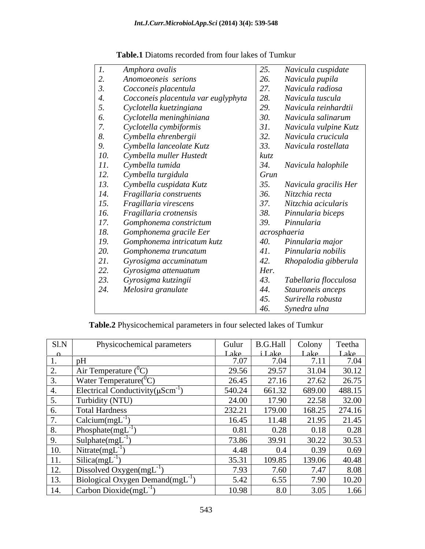|         | Amphora ovalis                      | 25.  | Navicula cuspidate    |
|---------|-------------------------------------|------|-----------------------|
|         | Anomoeoneis serions                 | 26.  | Navicula pupila       |
|         | Cocconeis placentula                | 27.  | Navicula radiosa      |
|         | Cocconeis placentula var euglyphyta |      | Navicula tuscula      |
|         | Cyclotella kuetzingiana             | 29.  | Navicula reinhardtii  |
|         | Cyclotella meninghiniana            | 30.  | Navicula salinarum    |
|         | Cyclotella cymbiformis              | 31.  | Navicula vulpine Kutz |
|         | Cymbella ehrenbergii                | 32.  | Navicula crucicula    |
|         | Cymbella lanceolate Kutz            | 33.  | Navicula rostellata   |
| 10.     | Cymbella muller Hustedt             | kutz |                       |
| 11.     | Cymbella tumida                     | 34.  | Navicula halophile    |
| 12.     | Cymbella turgidula                  | Grun |                       |
| 13.     | Cymbella cuspidata Kutz             | 35.  | Navicula gracilis Her |
| 14.     | Fragillaria construents             | 36.  | Nitzchia recta        |
| 15.     | Fragillaria virescens               | 37.  | Nitzchia acicularis   |
| 16.     | Fragillaria crotnensis              | 38.  | Pinnularia biceps     |
| 17.     | Gomphonema constrictum              | 39.  | Pinnularia            |
| 18.     | Gomphonema gracile Eer              |      | acrosphaeria          |
| 19.     | Gomphonema intricatum kutz          | 40.  | Pinnularia major      |
| 20.     | Gomphonema truncatum                | 41.  | Pinnularia nobilis    |
| 21.     | Gyrosigma accuminatum               | 42.  | Rhopalodia gibberula  |
| 22.     | Gyrosigma attenuatum                | Her. |                       |
| $^{23}$ | Gyrosigma kutzingii                 | 43.  | Tabellaria flocculosa |
| 24.     | Melosira granulate                  | 44.  | Stauroneis anceps     |
|         |                                     | 45.  | Surirella robusta     |
|         |                                     | 46.  | Synedra ulna          |

### **Table.1** Diatoms recorded from four lakes of Tumkur

**Table.2** Physicochemical parameters in four selected lakes of Tumkur

| S1.N                     | Physicochemical parameters                       | Gulur       | <b>B.G.Hall</b> | Colony       | Teetha |
|--------------------------|--------------------------------------------------|-------------|-----------------|--------------|--------|
| $\cdot$ $\alpha$ $\cdot$ |                                                  | <u>Lake</u> | iLake           | <u>Lake </u> | Lake 1 |
|                          |                                                  | 7.07        | 7.04            | 7.11         | 7.04   |
|                          | Air Temperature $(^{\circ}C^{\circ})$            | 29.56       | 29.57           | 31.04        | 30.12  |
|                          | Water Temperature( $°C$ )                        | 26.45       | 27.16           | 27.62        | 26.75  |
|                          | Electrical Conductivity( $\mu \text{Scm}^{-1}$ ) | 540.24      | 661.32          | 689.00       | 488.15 |
|                          | Turbidity (NTU)                                  | 24.00       | 17.90           | 22.58        | 32.00  |
|                          | <b>Total Hardness</b>                            | 232.21      | 179.00          | 168.25       | 274.16 |
|                          | Calcium(mgL)                                     | 16.45       | 11.48           | 21.95        | 21.45  |
|                          | Phosphate(mgL                                    | 0.81        | 0.28            | 0.18         | 0.28   |
|                          | Sulphate(mgL                                     | 73.86       | 39.91           | 30.22        | 30.53  |
| 10.                      | Nitrate(mgL                                      | 4.48        | 0.4             | 0.39         | 0.69   |
| 11.                      | Silica(mgL                                       | 35.31       | 109.85          | 139.06       | 40.48  |
| 12.                      | Dissolved Oxygen(mgL <sup>-1)</sup>              | 7.93        | 7.60            | 7.47         | 8.08   |
|                          | Biological Oxygen Demand $(mgL^{-1})$            | 5.42        | 6.55            | 7.90         | 10.20  |
| 1 J.                     |                                                  |             |                 |              |        |
| 14.                      | Carbon Dioxide(mgL                               | 10.98       | 8.0             | 3.05         | 1.66   |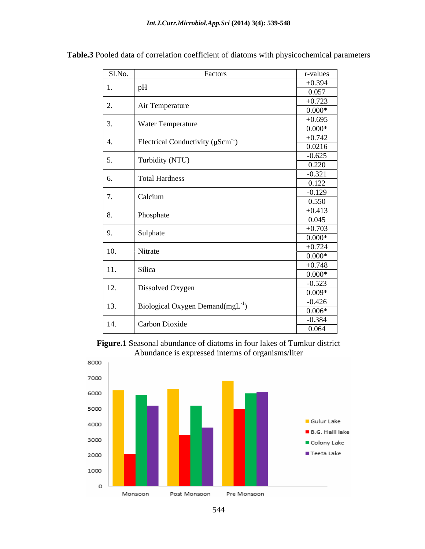| Sl.No.      | Factors                                           | r-values |
|-------------|---------------------------------------------------|----------|
|             | pH                                                | $+0.394$ |
|             |                                                   | 0.057    |
|             |                                                   | $+0.723$ |
| 2.          | Air Temperature                                   | $0.000*$ |
|             |                                                   | $+0.695$ |
| $\vert 3.$  | <b>Water Temperature</b>                          | $0.000*$ |
|             |                                                   | $+0.742$ |
| 4.          | Electrical Conductivity ( $\mu \text{Scm}^{-1}$ ) | 0.0216   |
|             |                                                   | $-0.625$ |
| $\vert 5.$  | Turbidity (NTU)                                   | 0.220    |
|             |                                                   | $-0.321$ |
| 6.          | <b>Total Hardness</b>                             | 0.122    |
|             |                                                   | $-0.129$ |
| 7.          | Calcium                                           | 0.550    |
|             |                                                   | $+0.413$ |
| 8.          | Phosphate                                         | 0.045    |
|             |                                                   |          |
| 9.          | Sulphate                                          | $+0.703$ |
|             |                                                   | $0.000*$ |
| 10.         | Nitrate                                           | $+0.724$ |
|             |                                                   | $0.000*$ |
| 11.         | Silica                                            | $+0.748$ |
|             |                                                   | $0.000*$ |
| $\vert$ 12. | Dissolved Oxygen                                  | $-0.523$ |
|             |                                                   | $0.009*$ |
| $\vert$ 13. | Biological Oxygen Demand $(mgL^{-1})$             | $-0.426$ |
|             |                                                   | $0.006*$ |
| 14.         | Carbon Dioxide                                    | $-0.384$ |
|             |                                                   | 0.064    |

**Table.3** Pooled data of correlation coefficient of diatoms with physicochemical parameters





544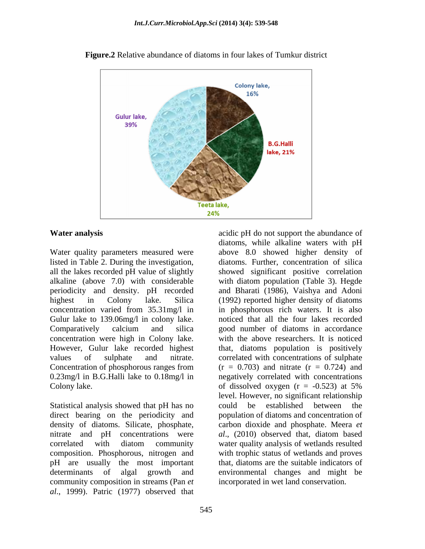

**Figure.2** Relative abundance of diatoms in four lakes of Tumkur district

### **Water analysis** acidic pH do not support the abundance of

Water quality parameters measured were listed in Table 2. During the investigation, Gulur lake to 139.06mg/l in colony lake. concentration were high in Colony lake. Colony lake.  $\qquad \qquad$  of dissolved oxygen  $(r = -0.523)$  at 5%

Statistical analysis showed that pH has no could be established between the direct bearing on the periodicity and composition. Phosphorous, nitrogen and pH are usually the most important community composition in streams (Pan *et al*., 1999). Patric (1977) observed that

all the lakes recorded pH value of slightly showed significant positive correlation alkaline (above 7.0) with considerable with diatom population (Table 3). Hegde periodicity and density. pH recorded and Bharati (1986), Vaishya and Adoni highest in Colony lake. Silica (1992) reported higher density of diatoms concentration varied from 35.31mg/l in in phosphorous rich waters. It is also Comparatively calcium and silica good number of diatoms in accordance However, Gulur lake recorded highest that, diatoms population is positively values of sulphate and nitrate. correlated with concentrations of sulphate Concentration of phosphorous ranges from  $(r = 0.703)$  and nitrate  $(r = 0.724)$  and 0.23mg/l in B.G.Halli lake to 0.18mg/l in negatively correlated with concentrations density of diatoms. Silicate, phosphate, carbon dioxide and phosphate. Meera *et*  nitrate and pH concentrations were *al*., (2010) observed that, diatom based correlated with diatom community water quality analysis of wetlands resulted determinants of algal growth and environmental changes and might be diatoms, while alkaline waters with pH above 8.0 showed higher density of diatoms. Further, concentration of silica noticed that all the four lakes recorded good number of diatoms in accordance with the above researchers. It is noticed  $(r = 0.703)$  and nitrate  $(r = 0.724)$  and of dissolved oxygen  $(r = -0.523)$  at 5% level. However, no significant relationship could be established between the population of diatoms and concentration of with trophic status of wetlands and proves that, diatoms are the suitable indicators of incorporated in wet land conservation.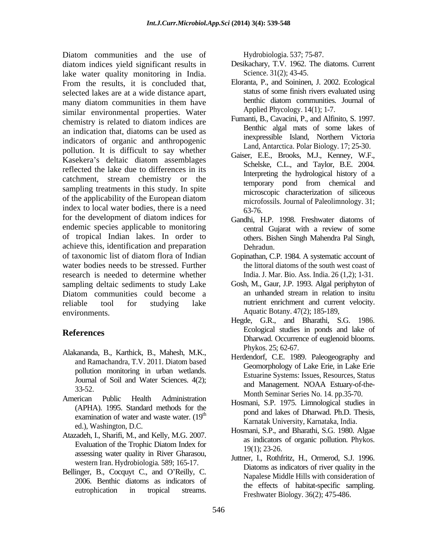Diatom communities and the use of Hydrobiologia 537; 75-87. diatom indices yield significant results in lake water quality monitoring in India. From the results, it is concluded that, selected lakes are at a wide distance apart,<br>many diatom communities in them have benthic diatom communities. Journal of many diatom communities in them have similar environmental properties. Water chemistry is related to diatom indices are an indication that, diatoms can be used as indicators of organic and anthropogenic pollution. It is difficult to say whether Kasekera's deltaic diatom assemblages reflected the lake due to differences in its catchment, stream chemistry or the sampling treatments in this study. In spite of the applicability of the European diatom index to local water bodies, there is a need  $63-76$ . for the development of diatom indices for endemic species applicable to monitoring entral Gujarat with a review of some of tropical Indian lakes. In order to achieve this, identification and preparation of taxonomic list of diatom flora of Indian Gopinathan, C.P. 1984. A systematic account of water bodies needs to be stressed. Further the littoral diatoms of the south west coast of research is needed to determine whether sampling deltaic sediments to study Lake Diatom communities could become a an unhanded stream in relation to insitu reliable tool for studying lake nutrient enrichment and current velocity. environments. Aquatic Botany. 47(2); 185-189, tom communities and the use of the streams in transfer and the streams. The streams of the streams in the results, it is concluded that. However, it is concluded that the streams. The streams in the streams in the conclus

- Alakananda, B., Karthick, B., Mahesh, M.K., and Ramachandra, T.V. 2011. Diatom based pollution monitoring in urban wetlands. Journal of Soil and Water Sciences. 4(2);
- American Public Health Administration<br>
Homoni S.D. 1075 Limpological studies in (APHA). 1995. Standard methods for the examination of water and waste water.  $(19<sup>th</sup>$
- Atazadeh, I., Sharifi, M., and Kelly, M.G. 2007. Evaluation of the Trophic Diatom match to  $19(1)$ ; 23-26.<br>assessing water quality in River Gharasou, western Iran. Hydrobiologia. 589; 165-17.
- Bellinger, B., Cocquyt C., and O'Reilly, C. 2006. Benthic diatoms as indicators of

- Desikachary, T.V. 1962. The diatoms. Current Science. 31(2); 43-45.
- Eloranta, P., and Soininen, J. 2002. Ecological status of some finish rivers evaluated using benthic diatom communities. Journal of Applied Phycology. 14(1); 1-7.
- Fumanti, B., Cavacini, P., and Alfinito, S. 1997. Benthic algal mats of some lakes of inexpressible Island, Northern Victoria Land, Antarctica. Polar Biology. 17; 25-30.
- Gaiser, E.E., Brooks, M.J., Kenney, W.F., Schelske, C.L., and Taylor, B.E. 2004. Interpreting the hydrological history of a temporary pond from chemical and microscopic characterization of siliceous microfossils. Journal of Paleolimnology. 31; 63-76.
- Gandhi, H.P. 1998. Freshwater diatoms of central Gujarat with a review of some others. Bishen Singh Mahendra Pal Singh, Dehradun.
- India. J. Mar. Bio. Ass. India. 26 (1,2); 1-31.
- Gosh, M., Gaur, J.P. 1993. Algal periphyton of an unhanded stream in relation to insitu
- **References** Ecological studies in ponds and lake of Hegde, G.R., and Bharathi, S.G. 1986. Dharwad. Occurrence of euglenoid blooms. Phykos. 25; 62-67.
	- 33-52.<br>
	Month Seminar Series No. 14. pp.35-70. Herdendorf, C.E. 1989. Paleogeography and Geomorphology of Lake Erie, in Lake Erie Estuarine Systems: Issues, Resources, Status and Management. NOAA Estuary-of-the
		- $t_{\text{th}}$  pond and lakes of Dharwad. Ph.D. Thesis, Hosmani, S.P. 1975. Limnological studies in Karnatak University, Karnataka, India.
	- ed.), Washington, D.C.<br>
	Hosmani, S.P., and Bharathi, S.G. 1980. Algae Evaluation of the Trophic Diatom Index for  $\frac{10(1) \cdot 22.26}{10(1) \cdot 22.26}$ as indicators of organic pollution. Phykos. 19(1); 23-26.
		- Juttner, I., Rothfritz, H., Ormerod, S.J. 1996. Diatoms as indicators of river quality in the Napalese Middle Hills with consideration of the effects of habitat-specific sampling. Freshwater Biology. 36(2); 475-486.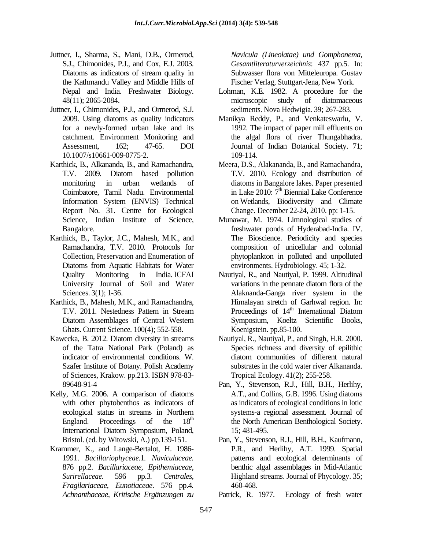- Juttner, I., Sharma, S., Mani, D.B., Ormerod, S.J., Chimonides, P.J., and Cox, E.J. 2003. *Gesamtliteraturverzeichnis*: 437 pp.5. In: Diatoms as indicators of stream quality in Subwasser flora von Mitteleuropa. Gustav the Kathmandu Valley and Middle Hills of
- Juttner, I., Chimonides, P.J., and Ormerod, S.J. 10.1007/s10661-009-0775-2.
- Karthick, B., Alkananda, B., and Ramachandra, Meera, D.S., Alakananda, B., and Ramachandra, Information System (ENVIS) Technical Report No. 31. Centre for Ecological
- Karthick, B., Taylor, J.C., Mahesh, M.K., and
- Karthick, B., Mahesh, M.K., and Ramachandra, Diatom Assemblages of Central Western Ghats. Current Science. 100(4); 552-558.
- Kawecka, B. 2012. Diatom diversity in streams Nautiyal, R., Nautiyal, P., and Singh, H.R. 2000. Szafer Institute of Botany. Polish Academy of Sciences, Krakow. pp.213. ISBN 978-83-
- Kelly, M.G. 2006. A comparison of diatoms with other phytobenthos as indicators of International Diatom Symposium, Poland, 15; 481-495.
- Krammer, K., and Lange-Bertalot, H. 1986- 876 pp.2*. Bacillariaceae, Epithemiaceae, Fragilariaceae, Eunotiaceae*. <sup>576</sup> pp.4*. Achnanthaceae, Kritische Ergänzungen zu*

*Navicula (Lineolatae) und Gomphonema,* Subwasser flora von Mitteleuropa. Gustav Fischer Verlag, Stuttgart-Jena, New York.

- Nepal and India. Freshwater Biology. Lohman, K.E. 1982. A procedure for the 48(11); 2065-2084. The microscopic study of diatomaceous microscopic study of diatomaceous sediments. Nova Hedwigia. 39; 267-283.
- 2009. Using diatoms as quality indicators Manikya Reddy, P., and Venkateswarlu, V. for a newly-formed urban lake and its 1992. The impact of paper mill effluents on catchment. Environment Monitoring and the algal flora of river Thungabhadra. Assessment, 162; 47-65. DOI Journal of Indian Botanical Society. 71; 109-114.
- T.V. 2009. Diatom based pollution monitoring in urban wetlands of diatoms in Bangalore lakes. Paper presented Coimbatore, Tamil Nadu. Environmental in Lake 2010: 7<sup>th</sup> Biennial Lake Conference T.V. 2010. Ecology and distribution of <sup>th</sup> Biennial Lake Conference on Wetlands, Biodiversity and Climate Change. December 22-24, 2010. pp: 1-15.
- Science, Indian Institute of Science, Munawar, M. 1974. Limnological studies of Bangalore. freshwater ponds of Hyderabad-India. IV. Ramachandra, T.V. 2010. Protocols for composition of unicellular and colonial Collection, Preservation and Enumeration of phytoplankton in polluted and unpolluted Diatoms from Aquatic Habitats for Water environments. Hydrobiology. 45; 1-32. The Bioscience. Periodicity and species environments. Hydrobiology. 45; 1-32.
- Quality Monitoring in India. ICFAI Nautiyal, R., and Nautiyal, P. 1999. Altitudinal University Journal of Soil and Water variations in the pennate diatom flora of the Sciences. 3(1); 1-36. Alaknanda-Ganga river system in the T.V. 2011. Nestedness Pattern in Stream Proceedings of 14<sup>th</sup> International Diatom variations in the pennate diatom flora of the Himalayan stretch of Garhwal region. In: Proceedings of 14<sup>th</sup> International Diatom <sup>th</sup> International Diatom Symposium, Koeltz Scientific Books, Koenigstein. pp.85-100.
- of the Tatra National Park (Poland) as Species richness and diversity of epilithic indicator of environmental conditions. W. diatom communities of different natural substrates in the cold water river Alkananda. Tropical Ecology. 41(2); 255-258.
- 89648-91-4 Pan, Y., Stevenson, R.J., Hill, B.H., Herlihy, ecological status in streams in Northern systems-a regional assessment. Journal of England. Proceedings of the 18<sup>th</sup> the North American Benthological Society. A.T., and Collins, G.B. 1996. Using diatoms as indicators of ecological conditions in lotic 15; 481-495.
- Bristol. (ed. by Witowski, A.) pp.139-151. Pan, Y., Stevenson, R.J., Hill, B.H., Kaufmann, 1991. *Bacillariophyceae.*1*. Naviculaceae.* patterns and ecological determinants of *Surirellaceae.* 596 pp.3*. Centrales,* Highland streams. Journal of Phycology. 35; P.R., and Herlihy, A.T. 1999. Spatial benthic algal assemblages in Mid-Atlantic 460-468.

Patrick, R. 1977. Ecology of fresh water